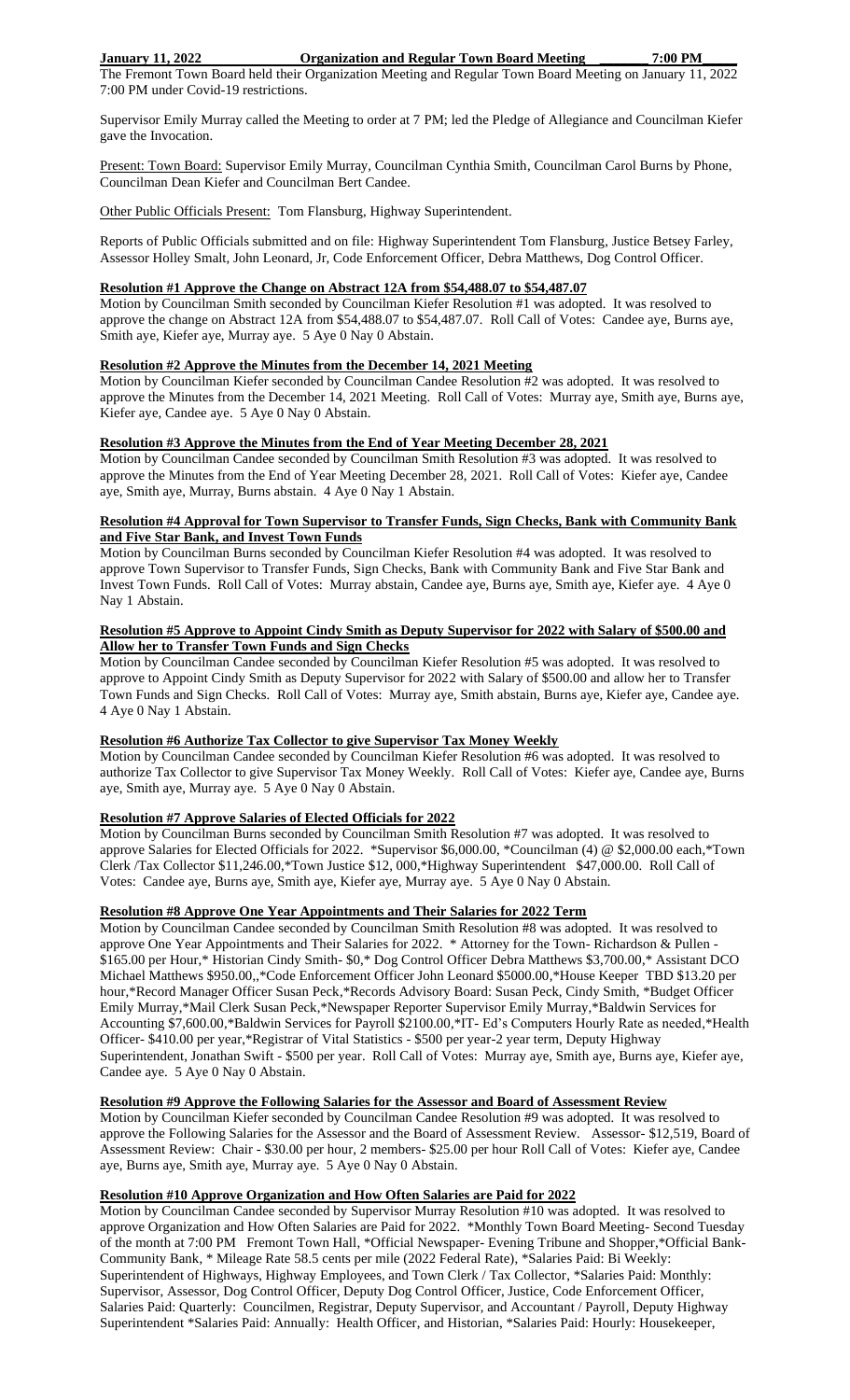## **January 11, 2022 Organization and Regular Town Board Meeting \_\_\_\_\_\_\_ 7:00 PM\_\_\_\_\_**

The Fremont Town Board held their Organization Meeting and Regular Town Board Meeting on January 11, 2022 7:00 PM under Covid-19 restrictions.

Supervisor Emily Murray called the Meeting to order at 7 PM; led the Pledge of Allegiance and Councilman Kiefer gave the Invocation.

Present: Town Board: Supervisor Emily Murray, Councilman Cynthia Smith, Councilman Carol Burns by Phone, Councilman Dean Kiefer and Councilman Bert Candee.

Other Public Officials Present: Tom Flansburg, Highway Superintendent.

Reports of Public Officials submitted and on file: Highway Superintendent Tom Flansburg, Justice Betsey Farley, Assessor Holley Smalt, John Leonard, Jr, Code Enforcement Officer, Debra Matthews, Dog Control Officer.

#### **Resolution #1 Approve the Change on Abstract 12A from \$54,488.07 to \$54,487.07**

Motion by Councilman Smith seconded by Councilman Kiefer Resolution #1 was adopted. It was resolved to approve the change on Abstract 12A from \$54,488.07 to \$54,487.07. Roll Call of Votes: Candee aye, Burns aye, Smith aye, Kiefer aye, Murray aye. 5 Aye 0 Nay 0 Abstain.

# **Resolution #2 Approve the Minutes from the December 14, 2021 Meeting**

Motion by Councilman Kiefer seconded by Councilman Candee Resolution #2 was adopted. It was resolved to approve the Minutes from the December 14, 2021 Meeting. Roll Call of Votes: Murray aye, Smith aye, Burns aye, Kiefer aye, Candee aye. 5 Aye 0 Nay 0 Abstain.

#### **Resolution #3 Approve the Minutes from the End of Year Meeting December 28, 2021**

Motion by Councilman Candee seconded by Councilman Smith Resolution #3 was adopted. It was resolved to approve the Minutes from the End of Year Meeting December 28, 2021. Roll Call of Votes: Kiefer aye, Candee aye, Smith aye, Murray, Burns abstain. 4 Aye 0 Nay 1 Abstain.

## **Resolution #4 Approval for Town Supervisor to Transfer Funds, Sign Checks, Bank with Community Bank and Five Star Bank, and Invest Town Funds**

Motion by Councilman Burns seconded by Councilman Kiefer Resolution #4 was adopted. It was resolved to approve Town Supervisor to Transfer Funds, Sign Checks, Bank with Community Bank and Five Star Bank and Invest Town Funds. Roll Call of Votes: Murray abstain, Candee aye, Burns aye, Smith aye, Kiefer aye. 4 Aye 0 Nay 1 Abstain.

## **Resolution #5 Approve to Appoint Cindy Smith as Deputy Supervisor for 2022 with Salary of \$500.00 and Allow her to Transfer Town Funds and Sign Checks**

Motion by Councilman Candee seconded by Councilman Kiefer Resolution #5 was adopted. It was resolved to approve to Appoint Cindy Smith as Deputy Supervisor for 2022 with Salary of \$500.00 and allow her to Transfer Town Funds and Sign Checks. Roll Call of Votes: Murray aye, Smith abstain, Burns aye, Kiefer aye, Candee aye. 4 Aye 0 Nay 1 Abstain.

# **Resolution #6 Authorize Tax Collector to give Supervisor Tax Money Weekly**

Motion by Councilman Candee seconded by Councilman Kiefer Resolution #6 was adopted. It was resolved to authorize Tax Collector to give Supervisor Tax Money Weekly. Roll Call of Votes: Kiefer aye, Candee aye, Burns aye, Smith aye, Murray aye. 5 Aye 0 Nay 0 Abstain.

# **Resolution #7 Approve Salaries of Elected Officials for 2022**

Motion by Councilman Burns seconded by Councilman Smith Resolution #7 was adopted. It was resolved to approve Salaries for Elected Officials for 2022. \*Supervisor \$6,000.00, \*Councilman (4) @ \$2,000.00 each,\*Town Clerk /Tax Collector \$11,246.00,\*Town Justice \$12, 000,\*Highway Superintendent \$47,000.00. Roll Call of Votes: Candee aye, Burns aye, Smith aye, Kiefer aye, Murray aye. 5 Aye 0 Nay 0 Abstain.

# **Resolution #8 Approve One Year Appointments and Their Salaries for 2022 Term**

Motion by Councilman Candee seconded by Councilman Smith Resolution #8 was adopted. It was resolved to approve One Year Appointments and Their Salaries for 2022. \* Attorney for the Town- Richardson & Pullen - \$165.00 per Hour,\* Historian Cindy Smith- \$0,\* Dog Control Officer Debra Matthews \$3,700.00,\* Assistant DCO Michael Matthews \$950.00,,\*Code Enforcement Officer John Leonard \$5000.00,\*House Keeper TBD \$13.20 per hour,\*Record Manager Officer Susan Peck,\*Records Advisory Board: Susan Peck, Cindy Smith, \*Budget Officer Emily Murray,\*Mail Clerk Susan Peck,\*Newspaper Reporter Supervisor Emily Murray,\*Baldwin Services for Accounting \$7,600.00,\*Baldwin Services for Payroll \$2100.00,\*IT- Ed's Computers Hourly Rate as needed,\*Health Officer- \$410.00 per year,\*Registrar of Vital Statistics - \$500 per year-2 year term, Deputy Highway Superintendent, Jonathan Swift - \$500 per year. Roll Call of Votes: Murray aye, Smith aye, Burns aye, Kiefer aye, Candee aye. 5 Aye 0 Nay 0 Abstain.

## **Resolution #9 Approve the Following Salaries for the Assessor and Board of Assessment Review**

Motion by Councilman Kiefer seconded by Councilman Candee Resolution #9 was adopted. It was resolved to approve the Following Salaries for the Assessor and the Board of Assessment Review. Assessor- \$12,519, Board of Assessment Review: Chair - \$30.00 per hour, 2 members- \$25.00 per hour Roll Call of Votes: Kiefer aye, Candee aye, Burns aye, Smith aye, Murray aye. 5 Aye 0 Nay 0 Abstain.

# **Resolution #10 Approve Organization and How Often Salaries are Paid for 2022**

Motion by Councilman Candee seconded by Supervisor Murray Resolution #10 was adopted. It was resolved to approve Organization and How Often Salaries are Paid for 2022. \*Monthly Town Board Meeting- Second Tuesday of the month at 7:00 PM Fremont Town Hall, \*Official Newspaper- Evening Tribune and Shopper,\*Official Bank-Community Bank, \* Mileage Rate 58.5 cents per mile (2022 Federal Rate), \*Salaries Paid: Bi Weekly: Superintendent of Highways, Highway Employees, and Town Clerk / Tax Collector, \*Salaries Paid: Monthly: Supervisor, Assessor, Dog Control Officer, Deputy Dog Control Officer, Justice, Code Enforcement Officer, Salaries Paid: Quarterly: Councilmen, Registrar, Deputy Supervisor, and Accountant / Payroll, Deputy Highway Superintendent \*Salaries Paid: Annually: Health Officer, and Historian, \*Salaries Paid: Hourly: Housekeeper,